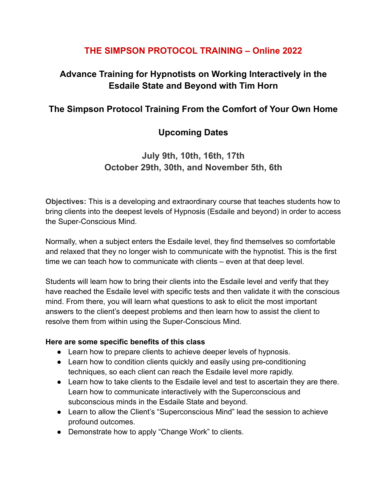## **THE SIMPSON PROTOCOL TRAINING – Online 2022**

# **Advance Training for Hypnotists on Working Interactively in the Esdaile State and Beyond with Tim Horn**

## **The Simpson Protocol Training From the Comfort of Your Own Home**

## **Upcoming Dates**

# **July 9th, 10th, 16th, 17th October 29th, 30th, and November 5th, 6th**

**Objectives:** This is a developing and extraordinary course that teaches students how to bring clients into the deepest levels of Hypnosis (Esdaile and beyond) in order to access the Super-Conscious Mind.

Normally, when a subject enters the Esdaile level, they find themselves so comfortable and relaxed that they no longer wish to communicate with the hypnotist. This is the first time we can teach how to communicate with clients – even at that deep level.

Students will learn how to bring their clients into the Esdaile level and verify that they have reached the Esdaile level with specific tests and then validate it with the conscious mind. From there, you will learn what questions to ask to elicit the most important answers to the client's deepest problems and then learn how to assist the client to resolve them from within using the Super-Conscious Mind.

#### **Here are some specific benefits of this class**

- Learn how to prepare clients to achieve deeper levels of hypnosis.
- Learn how to condition clients quickly and easily using pre-conditioning techniques, so each client can reach the Esdaile level more rapidly.
- Learn how to take clients to the Esdaile level and test to ascertain they are there. Learn how to communicate interactively with the Superconscious and subconscious minds in the Esdaile State and beyond.
- Learn to allow the Client's "Superconscious Mind" lead the session to achieve profound outcomes.
- Demonstrate how to apply "Change Work" to clients.